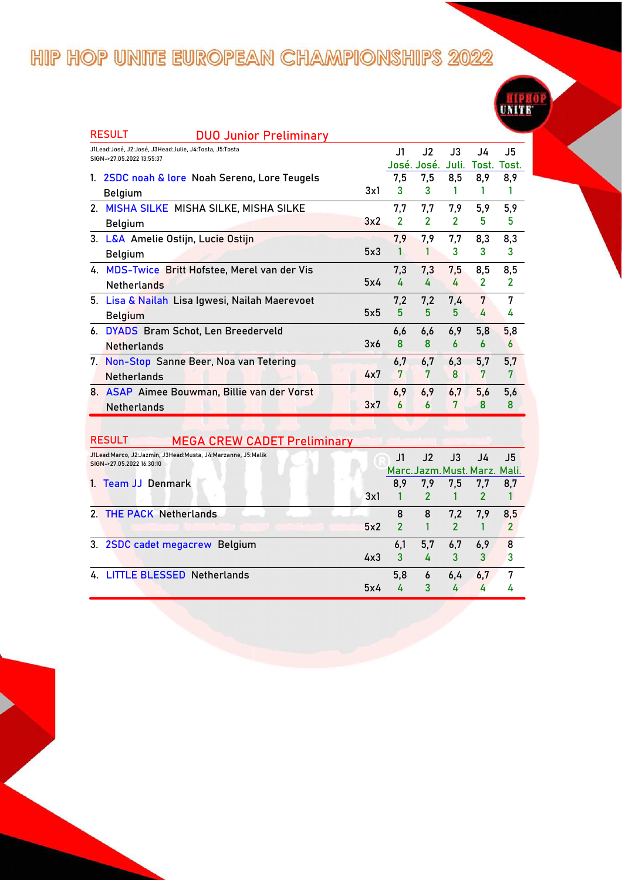|    | <b>RESULT</b><br><b>DUO Junior Preliminary</b>         |     |     |                |                |                |                |
|----|--------------------------------------------------------|-----|-----|----------------|----------------|----------------|----------------|
|    | J1Lead:José, J2:José, J3Head:Julie, J4:Tosta, J5:Tosta |     | J1  | J2             | J3             | J4             | J5             |
|    | SIGN->27.05.2022 13:55:37                              |     |     | José. José.    | Juli.          | Tost.          | Tost.          |
| 1. | 2SDC noah & lore Noah Sereno, Lore Teugels             |     | 7,5 | 7,5            | 8,5            | 8,9            | 8,9            |
|    | Belgium                                                | 3x1 | 3   | 3              |                |                |                |
|    | 2. MISHA SILKE MISHA SILKE, MISHA SILKE                |     | 7,7 | 7,7            | 7,9            | 5,9            | 5,9            |
|    | <b>Belgium</b>                                         | 3x2 | 2   | $\overline{2}$ | $\overline{2}$ | 5              | 5              |
|    | 3. L&A Amelie Ostijn, Lucie Ostijn                     |     | 7.9 | 7,9            | 7,7            | 8,3            | 8,3            |
|    | <b>Belgium</b>                                         | 5x3 |     |                | 3              | 3              | 3              |
|    | 4. MDS-Twice Britt Hofstee, Merel van der Vis          |     | 7,3 | 7,3            | 7,5            | 8,5            | 8,5            |
|    | <b>Netherlands</b>                                     | 5x4 | 4   | 4              | 4              | $\overline{2}$ | $\overline{2}$ |
|    | 5. Lisa & Nailah Lisa Igwesi, Nailah Maerevoet         |     | 7,2 | 7,2            | 7,4            | 7              | 7              |
|    | <b>Belgium</b>                                         | 5x5 | 5   | 5              | 5              | 4              | 4              |
|    | 6. DYADS Bram Schot, Len Breederveld                   |     | 6,6 | 6.6            | 6,9            | 5,8            | 5,8            |
|    | <b>Netherlands</b>                                     | 3x6 | 8   | 8              | 6              | 6              | 6              |
|    | 7. Non-Stop Sanne Beer, Noa van Tetering               |     | 6.7 | 6,7            | 6,3            | 5,7            | 5,7            |
|    | <b>Netherlands</b>                                     | 4x7 | 7   | 7              | 8              | 7              | 7              |
|    | 8. ASAP Aimee Bouwman, Billie van der Vorst            |     | 6,9 | 6,9            | 6,7            | 5,6            | 5,6            |
|    | <b>Netherlands</b>                                     | 3x7 | 6   | 6              | 7              | 8              | 8              |

| <b>RESULT</b><br><b>MEGA CREW CADET Preliminary</b>                                       |     |             |               |               |                               |     |
|-------------------------------------------------------------------------------------------|-----|-------------|---------------|---------------|-------------------------------|-----|
| J1Lead:Marco, J2:Jazmin, J3Head:Musta, J4:Marzanne, J5:Malik<br>SIGN->27.05.2022 16:30:10 |     | $_{\rm J1}$ | J2            | J3            | J4                            | J5  |
|                                                                                           |     |             |               |               | Marc. Jazm. Must. Marz. Mali. |     |
| 1. Team JJ Denmark                                                                        |     | 8,9         | 7,9           | 7,5           | 7,7                           | 8,7 |
|                                                                                           | 3x1 |             | $\mathcal{P}$ |               |                               |     |
| 2. THE PACK Netherlands                                                                   |     | 8           | 8             | 7.2           | 7,9                           | 8,5 |
|                                                                                           | 5x2 | 2           |               | $\mathcal{P}$ |                               | 2   |
| 3. 2SDC cadet megacrew Belgium                                                            |     | 6,1         | 5,7           | 6,7           | 6,9                           | 8   |
|                                                                                           | 4x3 | 3           | 4             | 3             | 3                             | 3   |
| 4. LITTLE BLESSED Netherlands                                                             |     | 5,8         | 6             | 6,4           | 6.7                           | 7   |
|                                                                                           | 5x4 |             | 3             |               |                               |     |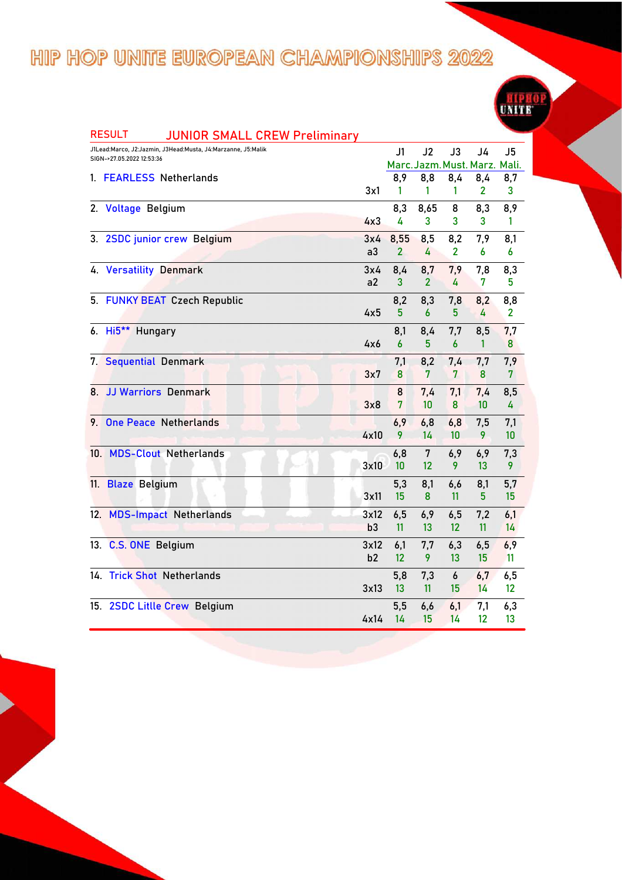

|     | <b>RESULT</b><br><b>JUNIOR SMALL CREW Preliminary</b>                                     |      |              |                |                       |                                     |                       |
|-----|-------------------------------------------------------------------------------------------|------|--------------|----------------|-----------------------|-------------------------------------|-----------------------|
|     | J1Lead:Marco, J2:Jazmin, J3Head:Musta, J4:Marzanne, J5:Malik<br>SIGN->27.05.2022 12:53:36 |      | J1           | J2             | J3                    | J4<br>Marc. Jazm. Must. Marz. Mali. | J <sub>5</sub>        |
|     | 1. FEARLESS Netherlands                                                                   |      | 8,9          | 8,8            | 8,4                   | 8,4                                 | 8,7                   |
|     |                                                                                           | 3x1  | 1            | 1              | 1                     | 2                                   | 3                     |
|     | 2. Voltage Belgium                                                                        |      | 8,3          | 8,65           | 8                     | 8,3                                 | 8,9                   |
|     |                                                                                           | 4x3  | 4            | 3              | 3                     | 3                                   | 1                     |
|     | 3. 2SDC junior crew Belgium                                                               | 3x4  | 8,55         | 8,5            | 8,2                   | 7,9                                 | 8,1                   |
|     |                                                                                           | a3   | $\mathbf{2}$ | 4              | 2                     | 6                                   | 6                     |
|     | 4. Versatility Denmark                                                                    | 3x4  | 8,4          | 8,7            | 7,9                   | 7,8                                 | 8,3                   |
|     |                                                                                           | a2   | 3            | $\overline{2}$ | 4                     | 7                                   | 5                     |
|     | 5. FUNKY BEAT Czech Republic                                                              |      | 8,2          | 8,3            | 7,8                   | 8,2                                 | 8,8                   |
|     |                                                                                           | 4x5  | 5            | 6              | 5 <sup>5</sup>        | 4                                   | $\mathbf{2}$          |
|     | 6. Hi5 <sup>**</sup> Hungary                                                              |      | 8,1          | 8,4            | 7,7                   | 8,5                                 | 7,7                   |
|     |                                                                                           | 4x6  | 6            | 5              | 6                     | 1                                   | 8                     |
|     | 7. Sequential Denmark                                                                     | 3x7  | 7,1<br>8     | 8,2<br>7       | 7,4<br>$7\phantom{.}$ | 7,7<br>8                            | 7,9<br>$\overline{7}$ |
|     |                                                                                           |      |              |                |                       |                                     |                       |
| 8   | <b>JJ Warriors Denmark</b>                                                                | 3x8  | 8<br>7       | 7,4<br>10      | 7,1<br>8              | 7,4<br>10                           | 8,5<br>4              |
|     | 9. One Peace Netherlands                                                                  |      | 6,9          |                |                       |                                     |                       |
|     |                                                                                           | 4x10 | 9            | 6,8<br>14      | 6,8<br>10             | 7,5<br>9                            | 7,1<br>10             |
|     | 10. MDS-Clout Netherlands                                                                 |      | 6,8          | 7              | 6,9                   | 6,9                                 | 7,3                   |
|     |                                                                                           | 3x10 | 10           | 12             | 9                     | 13                                  | 9                     |
|     | 11. Blaze Belgium                                                                         |      | 5,3          | 8,1            | 6,6                   | 8,1                                 | 5,7                   |
|     |                                                                                           | 3x11 | 15           | 8              | 11                    | 5                                   | 15                    |
|     | 12. MDS-Impact Netherlands                                                                | 3x12 | 6,5          | 6,9            | 6,5                   | 7,2                                 | 6,1                   |
|     |                                                                                           | b3   | 11           | 13             | 12                    | 11                                  | 14                    |
|     | 13. C.S. ONE Belgium                                                                      | 3x12 | 6,1          | 7,7            | 6,3                   | 6,5                                 | 6,9                   |
|     |                                                                                           | b2   | 12           | 9              | 13                    | 15                                  | 11                    |
| 14. | <b>Trick Shot Netherlands</b>                                                             |      | 5,8          | 7,3            | 6                     | 6,7                                 | 6,5                   |
|     |                                                                                           | 3x13 | 13           | 11             | 15                    | 14                                  | 12                    |
|     | 15. 2SDC Litlle Crew Belgium                                                              |      | 5,5          | 6,6            | 6,1                   | 7,1                                 | 6,3                   |
|     |                                                                                           | 4x14 | 14           | 15             | 14                    | 12                                  | 13                    |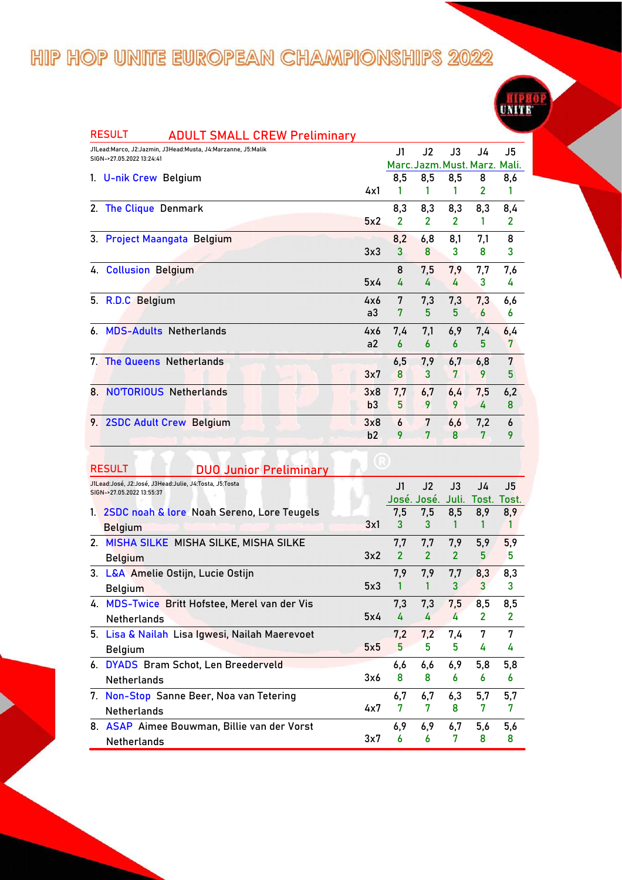|    | J1Lead:Marco, J2:Jazmin, J3Head:Musta, J4:Marzanne, J5:Malik<br>SIGN->27.05.2022 13:24:41 |                | J1                      | J2             | J3             | J4                            | J5             |
|----|-------------------------------------------------------------------------------------------|----------------|-------------------------|----------------|----------------|-------------------------------|----------------|
|    |                                                                                           |                |                         |                |                | Marc. Jazm. Must. Marz. Mali. |                |
|    | 1. U-nik Crew Belgium                                                                     |                | 8,5                     | 8,5            | 8,5            | 8                             | 8,6            |
|    |                                                                                           | 4x1            |                         |                | 1              | 2                             | 1              |
|    | 2. The Clique Denmark                                                                     |                | 8,3                     | 8,3            | 8,3            | 8,3                           | 8,4            |
|    |                                                                                           | 5x2            | $\overline{\mathbf{c}}$ | $\overline{2}$ | $\overline{2}$ | 1                             | $\overline{2}$ |
|    | 3. Project Maangata Belgium                                                               |                | 8,2                     | 6,8            | 8,1            | 7,1                           | 8              |
|    |                                                                                           | 3x3            | 3                       | 8              | 3              | 8                             | 3              |
|    | 4. Collusion Belgium                                                                      |                | 8                       | 7,5            | 7,9            | 7,7                           | 7,6            |
|    |                                                                                           | 5x4            | 4                       | 4              | 4              | 3                             | 4              |
|    | 5. R.D.C Belgium                                                                          | 4x6            | 7                       | 7,3            | 7,3            | 7,3                           | 6,6            |
|    |                                                                                           | a <sub>3</sub> | 7                       | 5              | 5              | 6                             | 6              |
| 6. | <b>MDS-Adults Netherlands</b>                                                             | 4x6            | 7,4                     | 7,1            | 6,9            | 7,4                           | 6,4            |
|    |                                                                                           | a2             | $\boldsymbol{6}$        | 6              | 6              | 5                             | 7              |
|    | 7. The Queens Netherlands                                                                 |                | 6,5                     | 7,9            | 6,7            | 6,8                           | 7              |
|    |                                                                                           | 3x7            | 8                       | 3              | 7              | 9                             | 5              |
|    | 8. NO'TORIOUS Netherlands                                                                 | 3x8            | 7,7                     | 6,7            | 6,4            | 7,5                           | 6,2            |
|    |                                                                                           | b3             | 5                       | 9              | 9              | 4                             | 8              |
|    | 9. 2SDC Adult Crew Belgium                                                                | 3x8            | 6                       | 7              | 6,6            | 7,2                           | 6              |
|    |                                                                                           | b2             | 9                       | 7              | 8              | 7                             | 9              |

**UNITE** 

|    | J1Lead:José, J2:José, J3Head:Julie, J4:Tosta, J5:Tosta<br>SIGN->27.05.2022 13:55:37 |     | J1                      | J2             | $\mathsf{J}3$ | J4             | J5           |
|----|-------------------------------------------------------------------------------------|-----|-------------------------|----------------|---------------|----------------|--------------|
|    |                                                                                     |     |                         | José. José.    | Juli.         | Tost. Tost.    |              |
| 1. | 2SDC noah & lore Noah Sereno, Lore Teugels                                          |     | 7.5                     | 7.5            | 8,5           | 8.9            | 8,9          |
|    | <b>Belgium</b>                                                                      | 3x1 | 3                       | 3              |               |                |              |
|    | 2. MISHA SILKE MISHA SILKE, MISHA SILKE                                             |     | 7,7                     | 7,7            | 7,9           | 5,9            | 5,9          |
|    | <b>Belgium</b>                                                                      | 3x2 | $\overline{\mathbf{c}}$ | $\overline{2}$ | 2             | 5              | 5            |
|    | 3. L&A Amelie Ostijn, Lucie Ostijn                                                  |     | 7.9                     | 7,9            | 7,7           | 8,3            | 8,3          |
|    | <b>Belgium</b>                                                                      | 5x3 | 1                       |                | 3             | 3              | 3            |
|    | 4. MDS-Twice Britt Hofstee, Merel van der Vis                                       |     | 7,3                     | 7,3            | 7,5           | 8,5            | 8,5          |
|    | <b>Netherlands</b>                                                                  | 5x4 | 4                       | 4              | 4             | $\overline{2}$ | $\mathbf{2}$ |
|    | 5. Lisa & Nailah Lisa Igwesi, Nailah Maerevoet                                      |     | 7,2                     | 7,2            | 7,4           | 7              | 7            |
|    | <b>Belgium</b>                                                                      | 5x5 | 5                       | 5              | 5             | 4              | 4            |
|    | 6. DYADS Bram Schot, Len Breederveld                                                |     | 6,6                     | 6.6            | 6,9           | 5,8            | 5,8          |
|    | <b>Netherlands</b>                                                                  | 3x6 | 8                       | 8              | 6             | 6              | 6            |
|    | 7. Non-Stop Sanne Beer, Noa van Tetering                                            |     | 6,7                     | 6,7            | 6,3           | 5,7            | 5,7          |
|    | <b>Netherlands</b>                                                                  | 4x7 | 7                       | 7              | 8             | 7              | 7            |
|    | 8. ASAP Aimee Bouwman, Billie van der Vorst                                         |     | 6,9                     | 6,9            | 6.7           | 5.6            | 5,6          |
|    | Netherlands                                                                         | 3x7 | 6                       | 6              | 7             | 8              | 8            |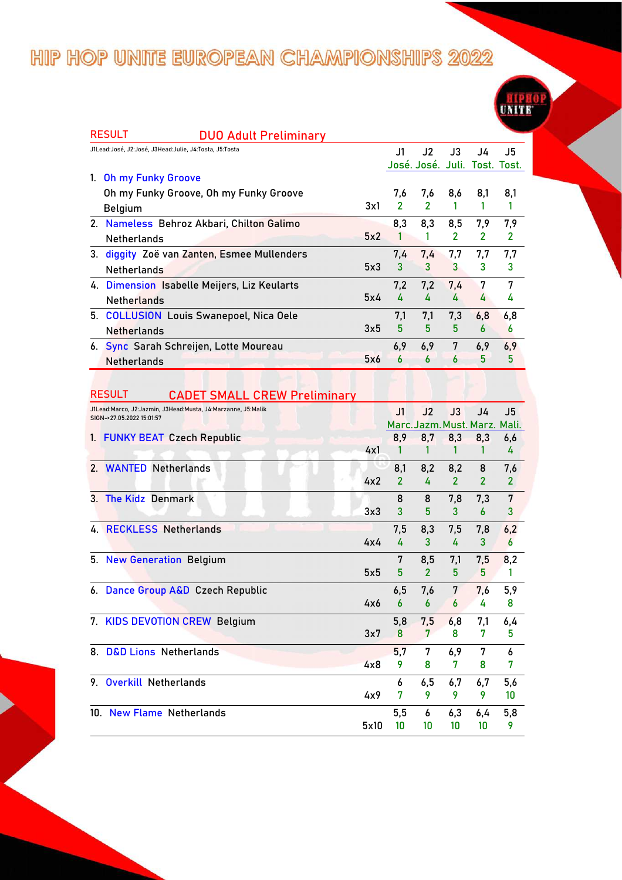| <b>RESULT</b><br><b>DUO Adult Preliminary</b>                                                       |     |                |                                      |                       |                     |                     |
|-----------------------------------------------------------------------------------------------------|-----|----------------|--------------------------------------|-----------------------|---------------------|---------------------|
| J1Lead:José, J2:José, J3Head:Julie, J4:Tosta, J5:Tosta                                              |     | J1.            | J2                                   | $\mathsf{J}3$         | J4                  | J5                  |
|                                                                                                     |     |                | José. José. Juli. Tost. Tost.        |                       |                     |                     |
| 1. Oh my Funky Groove                                                                               |     |                |                                      |                       |                     |                     |
| Oh my Funky Groove, Oh my Funky Groove                                                              |     | 7.6            | 7,6                                  | 8,6                   | 8,1                 | 8,1                 |
| <b>Belgium</b>                                                                                      | 3x1 | $\overline{2}$ | $\mathcal{P}$                        | 1                     | 1                   | $\mathbf{1}$        |
| 2. Nameless Behroz Akbari, Chilton Galimo                                                           |     | 8,3            | 8,3                                  | 8,5                   | 7,9                 | 7,9                 |
| <b>Netherlands</b>                                                                                  | 5x2 | 1              | 1                                    | $\overline{2}$        | $\overline{2}$      | $\mathbf{2}$        |
| 3. diggity Zoë van Zanten, Esmee Mullenders                                                         |     | 7,4            | 7,4                                  | 7,7                   | 7,7                 | 7,7                 |
| <b>Netherlands</b>                                                                                  | 5x3 | 3              | 3                                    | 3                     | 3                   | 3                   |
| 4. Dimension Isabelle Meijers, Liz Keularts                                                         |     | 7,2            | 7,2                                  | 7.4                   | 7                   | 7                   |
| <b>Netherlands</b>                                                                                  | 5x4 | 4              | 4                                    | 4                     | 4                   | 4                   |
| 5. COLLUSION Louis Swanepoel, Nica Oele                                                             |     | 7,1            | 7,1                                  | 7,3                   | 6,8                 | 6,8                 |
| <b>Netherlands</b>                                                                                  | 3x5 | 5              | 5                                    | 5                     | 6                   | 6                   |
| 6. Sync Sarah Schreijen, Lotte Moureau                                                              |     | 6,9            | 6,9                                  | 7                     | 6,9                 | 6,9                 |
| <b>Netherlands</b>                                                                                  | 5x6 | 6              | $\boldsymbol{6}$                     | 6                     | 5                   | 5                   |
|                                                                                                     |     |                |                                      |                       |                     |                     |
| <b>RESULT</b>                                                                                       |     |                |                                      |                       |                     |                     |
| <b>CADET SMALL CREW Preliminary</b><br>J1Lead:Marco, J2:Jazmin, J3Head:Musta, J4:Marzanne, J5:Malik |     |                |                                      |                       |                     |                     |
| SIGN->27.05.2022 15:01:57                                                                           |     | J1             | J2                                   | J3                    | J4                  | J5                  |
| <b>FUNKY BEAT Czech Republic</b><br>1.                                                              |     | 8,9            | Marc. Jazm. Must. Marz. Mali.<br>8,7 | 8,3                   | 8,3                 | 6,6                 |
|                                                                                                     | 4x1 | 1              | 1                                    | 1                     | 1                   | 4                   |
| 2. WANTED Netherlands                                                                               |     | 8,1            | 8,2                                  |                       |                     |                     |
|                                                                                                     | 4x2 | $\overline{2}$ | 4                                    | 8,2<br>$\overline{2}$ | 8<br>$\overline{2}$ | 7,6<br>$\mathbf{2}$ |
|                                                                                                     |     |                |                                      |                       |                     |                     |
| 3. The Kidz Denmark                                                                                 | 3x3 | 8<br>3         | 8<br>5                               | 7,8<br>3              | 7,3<br>6            | 7<br>3              |
|                                                                                                     |     |                |                                      |                       |                     |                     |
| 4. RECKLESS Netherlands                                                                             |     | 7,5            | 8,3                                  | 7,5                   | 7,8                 | 6,2                 |
|                                                                                                     | 4x4 | 4              | 3                                    | 4                     | 3                   | 6                   |
| 5. New Generation Belgium                                                                           |     | 7              | 8,5                                  | 7,1                   | 7,5                 | 8,2                 |
|                                                                                                     | 5x5 | 5              | $\overline{2}$                       | 5                     | 5                   | 1                   |
| 6. Dance Group A&D Czech Republic                                                                   |     | 6,5            | 7,6                                  | 7                     | 7,6                 | 5,9                 |
|                                                                                                     |     |                |                                      |                       |                     |                     |

**UNITE** 

| 6. Dance Group A&D Czech Republic |      | 6,5 | 7,6 7 |     | 7,6 | 5,9 |
|-----------------------------------|------|-----|-------|-----|-----|-----|
|                                   | 4x6  | 6   | 6     | 6   | 4   | 8   |
| 7. KIDS DEVOTION CREW Belgium     |      | 5.8 | 7,5   | 6,8 | 7,1 | 6,4 |
|                                   | 3x7  | 8   |       | 8   |     | 5.  |
| 8. D&D Lions Netherlands          |      | 5.7 | 7     | 6,9 |     | 6   |
|                                   | 4x8  |     | 8     |     | 8   | 7   |
| 9. Overkill Netherlands           |      | 6   | 6.5   | 6,7 | 6,7 | 5,6 |
|                                   | 4x9  |     |       |     |     | 10  |
| 10. New Flame Netherlands         |      | 5.5 | 6     | 6,3 | 6.4 | 5,8 |
|                                   | 5x10 | 10  | 10    | 10  | 10  |     |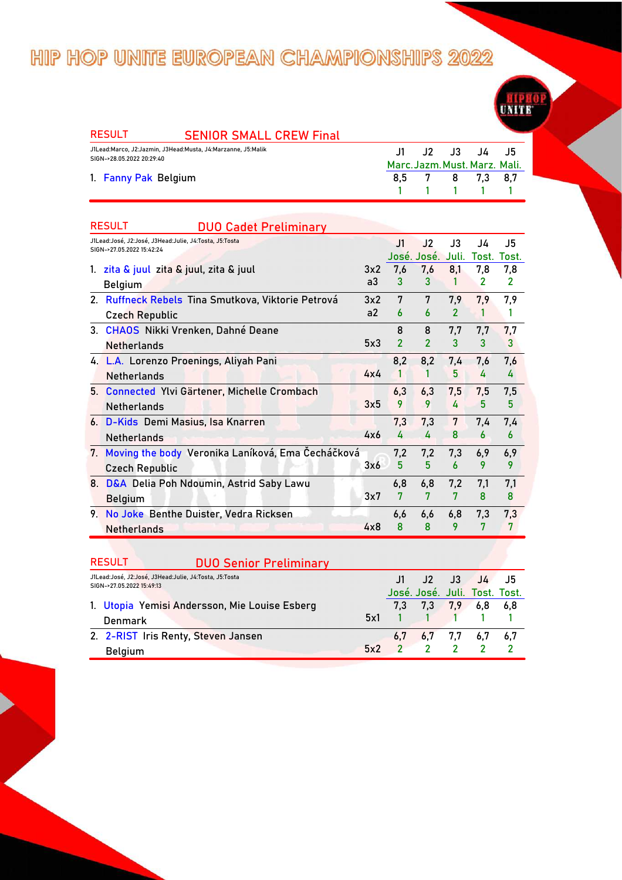| <b>RESULT</b>             | <b>SENIOR SMALL CREW Final</b>                               |               |   |                               |      |  |
|---------------------------|--------------------------------------------------------------|---------------|---|-------------------------------|------|--|
|                           |                                                              |               |   |                               |      |  |
| SIGN->28.05.2022 20:29:40 | J1Lead:Marco, J2:Jazmin, J3Head:Musta, J4:Marzanne, J5:Malik | $\mathbf{J1}$ |   | J2 J3 J4                      | - J5 |  |
|                           |                                                              |               |   | Marc. Jazm. Must. Marz. Mali. |      |  |
| 1. Fanny Pak Belgium      |                                                              | 8.5           | 8 | 7.3                           | 8.7  |  |

**1 1 1 1 1**

|    | <b>RESULT</b><br><b>DUO Cadet Preliminary</b>          |     |                         |                |                |                |                  |
|----|--------------------------------------------------------|-----|-------------------------|----------------|----------------|----------------|------------------|
|    | J1Lead:José, J2:José, J3Head:Julie, J4:Tosta, J5:Tosta |     | J1                      | J2             | $\mathsf{J}3$  | J4             | J5               |
|    | SIGN->27.05.2022 15:42:24                              |     |                         | José. José.    | Juli.          | Tost.          | Tost.            |
| 1. | zita & juul zita & juul, zita & juul                   | 3x2 | 7,6                     | 7,6            | 8,1            | 7,8            | 7,8              |
|    | <b>Belgium</b>                                         | a3  | 3                       | 3              | 1              | $\overline{2}$ | $\overline{2}$   |
|    | 2. Ruffneck Rebels Tina Smutkova, Viktorie Petrová     | 3x2 | 7                       | 7              | 7,9            | 7,9            | 7,9              |
|    | <b>Czech Republic</b>                                  | a2  | 6                       | 6              | $\overline{2}$ | 1              |                  |
|    | 3. CHAOS Nikki Vrenken, Dahné Deane                    |     | 8                       | 8              | 7,7            | 7,7            | 7,7              |
|    | <b>Netherlands</b>                                     | 5x3 | $\overline{\mathbf{c}}$ | $\overline{2}$ | 3              | 3              | 3                |
|    | 4. L.A. Lorenzo Proenings, Aliyah Pani                 |     | 8,2                     | 8,2            | 7.4            | 7.6            | 7,6              |
|    | <b>Netherlands</b>                                     | 4x4 | 1                       | 1              | 5              | 4              | 4                |
|    | 5. Connected Ylvi Gärtener, Michelle Crombach          |     | 6,3                     | 6,3            | 7,5            | 7,5            | 7,5              |
|    | <b>Netherlands</b>                                     | 3x5 | 9                       | 9              | 4              | 5              | 5                |
|    | 6. D-Kids Demi Masius, Isa Knarren                     |     | 7,3                     | 7,3            | 7              | 7,4            | 7,4              |
|    | <b>Netherlands</b>                                     | 4x6 | 4                       | 4              | 8              | 6              | $\boldsymbol{6}$ |
|    | 7. Moving the body Veronika Laníková, Ema Čecháčková   |     | 7,2                     | 7,2            | 7,3            | 6,9            | 6,9              |
|    | <b>Czech Republic</b>                                  | 3x6 | 5                       | 5              | 6              | 9              | 9                |
|    | 8. D&A Delia Poh Ndoumin, Astrid Saby Lawu             |     | 6,8                     | 6,8            | 7,2            | 7,1            | 7,1              |
|    | <b>Belgium</b>                                         | 3x7 | 7                       | 7              | 7              | 8              | 8                |
|    | 9. No Joke Benthe Duister, Vedra Ricksen               |     | 6.6                     | 6.6            | 6,8            | 7,3            | 7,3              |
|    | <b>Netherlands</b>                                     | 4x8 | $\mathbf{8}$            | 8              | 9              | 7              | 7                |

#### RESULT **DUO Senior Preliminary**

| J1Lead:José, J2:José, J3Head:Julie, J4:Tosta, J5:Tosta<br>SIGN->27.05.2022 15:49:13 |  | J1 J2 J3 J4 J5                |  |  |
|-------------------------------------------------------------------------------------|--|-------------------------------|--|--|
|                                                                                     |  | José. José. Juli. Tost. Tost. |  |  |
| 1. Utopia Yemisi Andersson, Mie Louise Esberg                                       |  | 7,3 7,3 7,9 6,8 6,8           |  |  |
| Denmark                                                                             |  | $5x1 \t1 \t1 \t1 \t1 \t1$     |  |  |
| 2. 2-RIST Iris Renty, Steven Jansen                                                 |  | $6,7$ $6,7$ $7,7$ $6,7$ $6,7$ |  |  |
| <b>Belgium</b>                                                                      |  | $5x^2$ $2$ $2$ $2$ $2$ $2$    |  |  |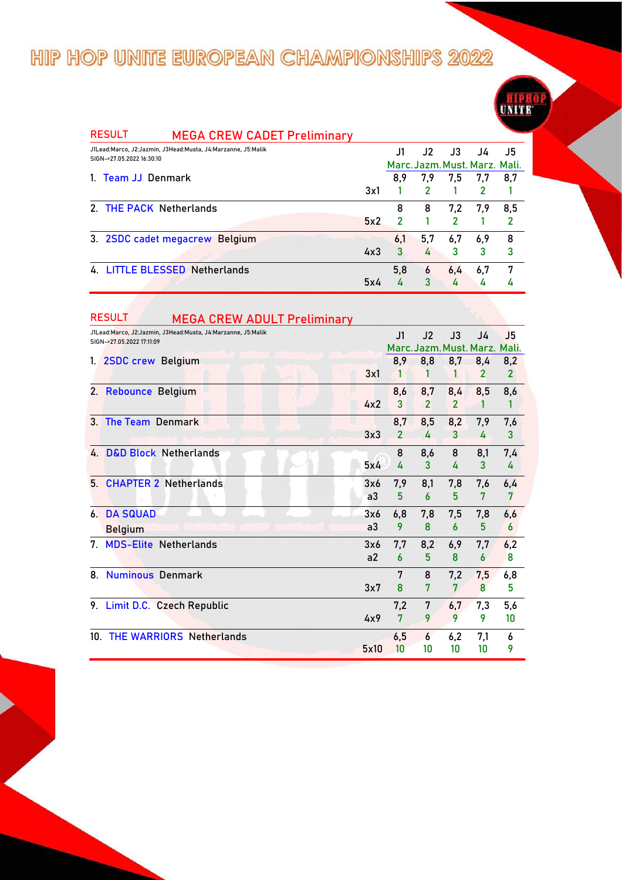

| <b>RESULT</b><br><b>MEGA CREW CADET Preliminary</b>                                       |     |     |     |               |                               |     |
|-------------------------------------------------------------------------------------------|-----|-----|-----|---------------|-------------------------------|-----|
| J1Lead:Marco, J2:Jazmin, J3Head:Musta, J4:Marzanne, J5:Malik<br>SIGN->27.05.2022 16:30:10 |     | J1  | J2  | $\mathsf{J}3$ | J4                            | J5  |
|                                                                                           |     |     |     |               | Marc. Jazm. Must. Marz. Mali. |     |
| 1. Team JJ Denmark                                                                        |     | 8,9 | 7,9 | 7,5           | 7,7                           | 8,7 |
|                                                                                           | 3x1 |     | 2   |               | 2                             |     |
| 2. THE PACK Netherlands                                                                   |     | 8   | 8   | 7,2           | 7,9                           | 8.5 |
|                                                                                           | 5x2 | 2   |     | $\mathcal{P}$ |                               |     |
| 3. 2SDC cadet megacrew Belgium                                                            |     | 6,1 | 5,7 | 6,7           | 6,9                           | 8   |
|                                                                                           | 4x3 | 3   | 4   | 3             | 3                             | 3   |
| 4. LITTLE BLESSED Netherlands                                                             |     | 5,8 | 6   | 6,4           | 6,7                           | 7   |
|                                                                                           | 5x4 |     | 3   | 4             | 4                             |     |

|                | <b>RESULT</b><br><b>MEGA CREW ADULT Preliminary</b>                                       |                       |                       |                       |                       |                                     |                       |
|----------------|-------------------------------------------------------------------------------------------|-----------------------|-----------------------|-----------------------|-----------------------|-------------------------------------|-----------------------|
|                | J1Lead:Marco, J2:Jazmin, J3Head:Musta, J4:Marzanne, J5:Malik<br>SIGN->27.05.2022 17:11:09 |                       | J1                    | J2                    | J3                    | J4<br>Marc. Jazm. Must. Marz. Mali. | J5                    |
|                | 1. 2SDC crew Belgium                                                                      | 3x1                   | 8,9                   | 8,8<br>1              | 8,7                   | 8,4<br>$\overline{2}$               | 8,2<br>$\overline{2}$ |
|                | 2. Rebounce Belgium                                                                       | 4x2                   | 8,6<br>3              | 8,7<br>$\overline{2}$ | 8,4<br>$\overline{2}$ | 8,5<br>1                            | 8,6<br>1              |
| 3 <sub>1</sub> | <b>The Team Denmark</b>                                                                   | 3x3                   | 8,7<br>$\overline{2}$ | 8,5<br>4              | 8,2<br>3              | 7,9<br>4                            | 7,6<br>3              |
|                | 4. D&D Block Netherlands                                                                  | 5x4                   | 8<br>4                | 8,6<br>3              | 8<br>4                | 8,1<br>3                            | 7,4<br>4              |
| 5 <sub>1</sub> | <b>CHAPTER 2 Netherlands</b>                                                              | 3x6<br>a <sub>3</sub> | 7,9<br>5              | 8,1<br>6              | 7,8<br>5              | 7,6<br>7                            | 6,4<br>7              |
|                | <b>6. DA SQUAD</b><br><b>Belgium</b>                                                      | 3x6<br>a3             | 6,8<br>9              | 7,8<br>8              | 7,5<br>6              | 7,8<br>5                            | 6,6<br>6              |
| 7.             | <b>MDS-Elite Netherlands</b>                                                              | 3x6<br>a <sub>2</sub> | 7.7<br>6              | 8,2<br>5              | 6,9<br>8              | 7,7<br>6                            | 6,2<br>8              |
| 8.             | <b>Numinous Denmark</b>                                                                   | 3x7                   | 7<br>8                | 8<br>7                | 7,2<br>7              | 7,5<br>8                            | 6,8<br>5              |
|                | 9. Limit D.C. Czech Republic                                                              | 4x9                   | 7,2<br>7              | 7<br>9                | 6,7<br>9              | 7,3<br>9                            | 5,6<br>10             |
| 10.            | <b>THE WARRIORS Netherlands</b>                                                           | 5x10                  | 6,5<br>10             | 6<br>10               | 6,2<br>10             | 7,1<br>10                           | 6<br>9                |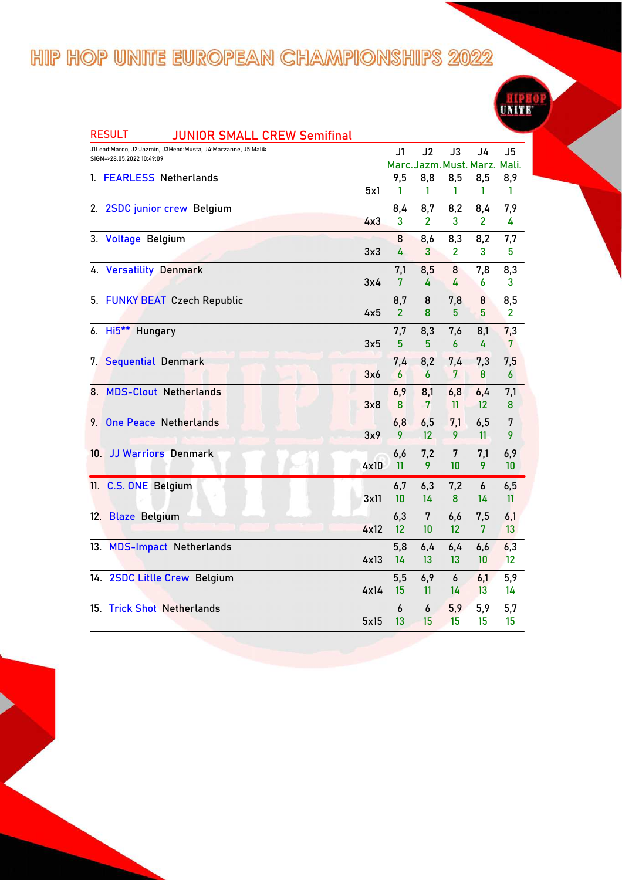| <b>RESULT</b><br><b>JUNIOR SMALL CREW Semifinal</b>                                       |      |                       |                               |              |                |                |
|-------------------------------------------------------------------------------------------|------|-----------------------|-------------------------------|--------------|----------------|----------------|
| J1Lead:Marco, J2:Jazmin, J3Head:Musta, J4:Marzanne, J5:Malik<br>SIGN->28.05.2022 10:49:09 |      | J1                    | J2                            | J3           | J4             | J <sub>5</sub> |
|                                                                                           |      |                       | Marc. Jazm. Must. Marz. Mali. |              |                |                |
| 1. FEARLESS Netherlands                                                                   |      | 9,5                   | 8,8                           | 8,5          | 8,5            | 8,9            |
|                                                                                           | 5x1  | 1                     | 1                             | 1            | 1              | 1              |
| 2. 2SDC junior crew Belgium                                                               |      | 8,4                   | 8,7                           | 8,2          | 8,4            | 7,9            |
|                                                                                           | 4x3  | 3                     | $\overline{2}$                | 3            | 2              | 4              |
| 3. Voltage Belgium                                                                        |      | 8                     | 8,6                           | 8,3          | 8,2            | 7,7            |
|                                                                                           | 3x3  | 4                     | 3                             | $\mathbf{2}$ | 3              | 5              |
| 4. Versatility Denmark                                                                    |      | 7,1                   | 8,5                           | 8            | 7,8            | 8,3            |
|                                                                                           | 3x4  | 7                     | 4                             | 4            | 6              | 3              |
|                                                                                           |      |                       | 8                             |              |                |                |
| 5. FUNKY BEAT Czech Republic                                                              | 4x5  | 8,7<br>$\overline{2}$ | 8                             | 7,8<br>5     | 8<br>5         | 8,5<br>2       |
|                                                                                           |      |                       |                               |              |                |                |
| 6. Hi5 <sup>**</sup> Hungary                                                              |      | 7,7                   | 8,3                           | 7,6          | 8,1            | 7,3            |
|                                                                                           | 3x5  | 5                     | 5                             | 6            | 4              | 7              |
| 7. Sequential Denmark                                                                     |      | 7,4                   | 8,2                           | 7,4          | 7,3            | 7,5            |
|                                                                                           | 3x6  | 6                     | 6                             | 7            | 8              | 6              |
| 8. MDS-Clout Netherlands                                                                  |      | 6,9                   | 8,1                           | 6,8          | 6,4            | 7,1            |
|                                                                                           | 3x8  | 8                     | $\overline{7}$                | 11           | $12 \,$        | 8              |
| <b>One Peace Netherlands</b><br>9.                                                        |      | 6,8                   | 6,5                           | 7,1          | 6,5            | 7              |
|                                                                                           | 3x9  | 9                     | 12                            | 9            | 11             | 9              |
| 10. JJ Warriors Denmark                                                                   |      | 6,6                   | 7,2                           | 7            | 7,1            | 6,9            |
|                                                                                           | 4x10 | 11                    | 9                             | 10           | 9              | 10             |
|                                                                                           |      |                       |                               |              |                |                |
| 11. C.S. ONE Belgium                                                                      |      | 6,7                   | 6,3                           | 7,2          | 6              | 6,5            |
|                                                                                           | 3x11 | 10                    | 14                            | 8            | 14             | 11             |
| 12. Blaze Belgium                                                                         |      | 6,3                   | 7                             | 6,6          | 7,5            | 6,1            |
|                                                                                           | 4x12 | 12                    | 10                            | 12           | $\overline{7}$ | 13             |
| 13. MDS-Impact Netherlands                                                                |      | 5,8                   | 6,4                           | 6,4          | 6,6            | 6,3            |
|                                                                                           | 4x13 | 14                    | 13                            | 13           | 10             | 12             |
| 14. 2SDC Litlle Crew Belgium                                                              |      | 5,5                   | 6,9                           | 6            | 6,1            | 5,9            |
|                                                                                           | 4x14 | 15                    | 11                            | 14           | 13             | 14             |
| 15. Trick Shot Netherlands                                                                |      | 6                     | 6                             |              |                |                |
|                                                                                           | 5x15 | 13                    | 15                            | 5,9<br>15    | 5,9<br>15      | 5,7<br>15      |
|                                                                                           |      |                       |                               |              |                |                |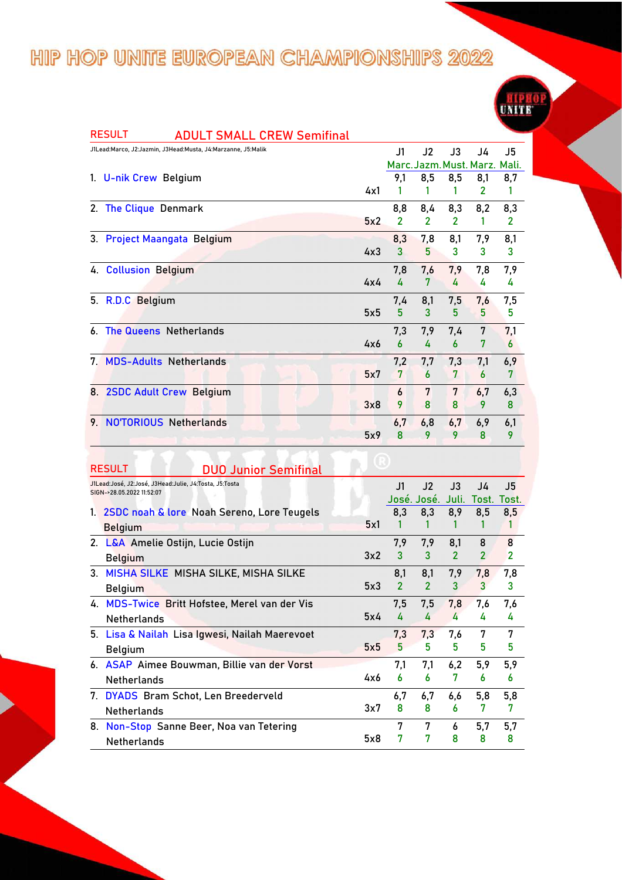|    | <b>RESULT</b><br><b>ADULT SMALL CREW Semifinal</b>                                  |     |                |                               |                       |                     |                     |
|----|-------------------------------------------------------------------------------------|-----|----------------|-------------------------------|-----------------------|---------------------|---------------------|
|    | J1Lead:Marco, J2:Jazmin, J3Head:Musta, J4:Marzanne, J5:Malik                        |     | J1             | J2                            | J3                    | J4                  | J5                  |
|    |                                                                                     |     |                | Marc. Jazm. Must. Marz. Mali. |                       |                     |                     |
|    | 1. U-nik Crew Belgium                                                               |     | 9,1            | 8,5                           | 8,5                   | 8,1                 | 8,7                 |
|    |                                                                                     | 4x1 | 1              | 1                             | 1                     | $\overline{2}$      | 1                   |
|    | 2. The Clique Denmark                                                               |     | 8,8            | 8,4                           | 8,3                   | 8,2                 | 8,3                 |
|    |                                                                                     | 5x2 | $\overline{2}$ | $\overline{2}$                | 2                     | 1                   | 2                   |
|    | 3. Project Maangata Belgium                                                         |     | 8,3            | 7,8                           | 8,1                   | 7,9                 | 8,1                 |
|    |                                                                                     | 4x3 | 3              | 5                             | 3                     | 3                   | 3                   |
|    | 4. Collusion Belgium                                                                |     | 7,8            | 7,6                           | 7,9                   | 7,8                 | 7,9                 |
|    |                                                                                     | 4x4 | 4              | 7                             | 4                     | 4                   | 4                   |
|    | 5. R.D.C Belgium                                                                    |     | 7,4            | 8,1                           | 7,5                   | 7,6                 | 7,5                 |
|    |                                                                                     | 5x5 | 5              | 3                             | 5                     | 5                   | 5                   |
| 6. | <b>The Queens Netherlands</b>                                                       |     | 7,3            | 7,9                           | 7,4                   | 7                   | 7,1                 |
|    |                                                                                     | 4x6 | 6              | 4                             | 6                     | 7                   | 6                   |
| 7. | <b>MDS-Adults Netherlands</b>                                                       |     | 7,2            | 7,7                           | 7,3                   | 7,1                 | 6,9                 |
|    |                                                                                     | 5x7 | 7              | 6                             | 7                     | 6                   | 7                   |
|    | 8. 2SDC Adult Crew Belgium                                                          |     | 6              | 7                             | 7                     | 6,7                 | 6,3                 |
|    |                                                                                     | 3x8 | 9              | 8                             | 8                     | 9                   | 8                   |
|    | 9. NOTORIOUS Netherlands                                                            |     | 6,7            | 6,8                           | 6,7                   | 6,9                 | 6,1                 |
|    |                                                                                     | 5x9 | 8              | 9                             | 9                     | 8                   | 9                   |
|    |                                                                                     |     |                |                               |                       |                     |                     |
|    |                                                                                     |     |                |                               |                       |                     |                     |
|    | <b>RESULT</b><br><b>DUO Junior Semifinal</b>                                        |     |                |                               |                       |                     |                     |
|    | J1Lead:José, J2:José, J3Head:Julie, J4:Tosta, J5:Tosta<br>SIGN->28.05.2022 11:52:07 |     | J1             | J2                            | J3                    | J4                  | J5                  |
|    |                                                                                     |     |                | José. José.                   | Juli.                 |                     | Tost. Tost.         |
|    | 1. 2SDC noah & lore Noah Sereno, Lore Teugels                                       | 5x1 | 8,3<br>1       | 8,3<br>1                      | 8,9<br>1              | 8,5<br>1            | 8,5<br>1            |
|    | <b>Belgium</b>                                                                      |     |                |                               |                       |                     |                     |
|    | 2. L&A Amelie Ostijn, Lucie Ostijn                                                  | 3x2 | 7,9<br>3       | 7,9<br>3                      | 8,1<br>$\overline{2}$ | 8<br>$\overline{2}$ | 8<br>$\overline{2}$ |
|    | <b>Belgium</b>                                                                      |     |                |                               |                       |                     |                     |
|    | 3. MISHA SILKE MISHA SILKE, MISHA SILKE                                             |     | 8,1            | 8,1                           | 7,9                   | 7,8                 | 7,8                 |
|    | <b>Belgium</b>                                                                      | 5x3 | $\overline{2}$ | 2                             | 3.                    | 3.                  | 3.                  |
|    | 4. MDS-Twice Britt Hofstee, Merel van der Vis                                       |     | 7,5            | 7,5                           | 7,8                   | 7,6                 | 7,6                 |
|    | <b>Netherlands</b>                                                                  | 5x4 | 4              | 4                             | 4                     | 4                   | 4                   |
|    | 5. Lisa & Nailah Lisa Igwesi, Nailah Maerevoet                                      |     | 7,3            | 7,3                           | 7,6                   | 7                   | 7                   |
|    | <b>Belgium</b>                                                                      | 5x5 | 5 <sup>5</sup> | 5                             | 5                     | 5                   | 5                   |
|    | 6. ASAP Aimee Bouwman, Billie van der Vorst                                         |     | 7,1            | 7,1                           | 6,2                   | 5,9                 | 5,9                 |
|    | Netherlands                                                                         | 4x6 | 6              | 6                             | 7                     | 6                   | 6                   |
|    | 7. DYADS Bram Schot, Len Breederveld                                                |     | 6,7            | 6,7                           | 6,6                   | 5,8                 | 5,8                 |
|    |                                                                                     |     |                |                               |                       |                     |                     |

3x7 Netherlands **8 8 6 7 7** 8 8 6 7 7 **8. Non-Stop Sanne Beer, Noa van Tetering** 5x8 7 7 6 5,7 5,7<br>7 7 8 8 8 Netherlands **7 7 8 8 8**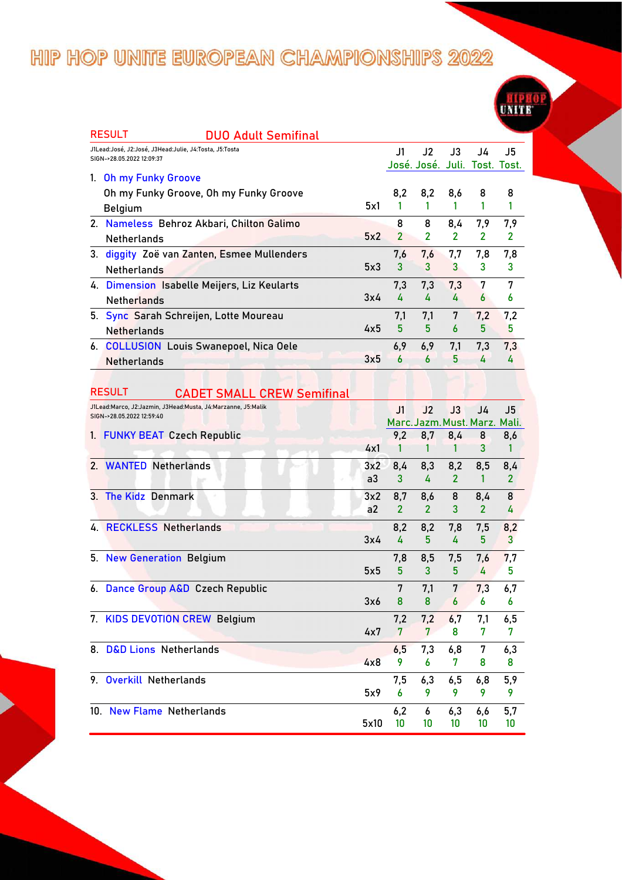| <b>RESULT</b><br>DUO Adult Semifinal                                                |      |                     |                               |                       |                       |                |
|-------------------------------------------------------------------------------------|------|---------------------|-------------------------------|-----------------------|-----------------------|----------------|
| J1Lead:José, J2:José, J3Head:Julie, J4:Tosta, J5:Tosta<br>SIGN->28.05.2022 12:09:37 |      | J1                  | J2                            | J3                    | J4                    | J5             |
|                                                                                     |      |                     | José. José. Juli. Tost. Tost. |                       |                       |                |
| 1. Oh my Funky Groove                                                               |      |                     |                               |                       |                       |                |
| Oh my Funky Groove, Oh my Funky Groove                                              | 5x1  | 8,2<br>1            | 8,2<br>1                      | 8,6<br>1              | 8<br>1                | 8<br>1         |
| <b>Belgium</b>                                                                      |      |                     |                               |                       |                       |                |
| 2. Nameless Behroz Akbari, Chilton Galimo                                           | 5x2  | 8<br>$\overline{2}$ | 8<br>$\overline{2}$           | 8,4<br>$\overline{2}$ | 7,9<br>$\overline{2}$ | 7,9            |
| <b>Netherlands</b>                                                                  |      |                     |                               |                       |                       | 2              |
| 3. diggity Zoë van Zanten, Esmee Mullenders                                         |      | 7,6                 | 7,6                           | 7,7                   | 7,8                   | 7,8            |
| <b>Netherlands</b>                                                                  | 5x3  | 3                   | 3                             | 3                     | 3                     | 3              |
| 4. Dimension Isabelle Meijers, Liz Keularts                                         |      | 7,3                 | 7,3                           | 7,3                   | 7                     | 7              |
| <b>Netherlands</b>                                                                  | 3x4  | 4                   | 4                             | 4                     | 6                     | 6              |
| 5. Sync Sarah Schreijen, Lotte Moureau                                              |      | 7,1                 | 7,1                           | 7                     | 7,2                   | 7,2            |
| <b>Netherlands</b>                                                                  | 4x5  | 5                   | 5                             | 6                     | 5                     | 5              |
| 6. COLLUSION Louis Swanepoel, Nica Oele                                             |      | 6,9                 | 6,9                           | 7,1                   | 7,3                   | 7,3            |
| <b>Netherlands</b>                                                                  | 3x5  | 6                   | 6                             | 5                     | 4                     | 4              |
|                                                                                     |      |                     |                               |                       |                       |                |
| <b>RESULT</b><br><b>CADET SMALL CREW Semifinal</b>                                  |      |                     |                               |                       |                       |                |
| J1Lead:Marco, J2:Jazmin, J3Head:Musta, J4:Marzanne, J5:Malik                        |      | J <sub>1</sub>      | J2                            | J3                    | J4                    | J5             |
| SIGN->28.05.2022 12:59:40                                                           |      |                     | Marc. Jazm. Must. Marz. Mali. |                       |                       |                |
| 1. FUNKY BEAT Czech Republic                                                        |      | 9,2                 | 8,7                           | 8,4                   | 8                     | 8,6            |
|                                                                                     | 4x1  | 1                   | 1                             | 1                     | 3                     | 1              |
| 2. WANTED Netherlands                                                               | 3x2  | 8,4                 | 8,3                           | 8,2                   | 8,5                   | 8,4            |
|                                                                                     | a3   | 3                   | 4                             | $\overline{2}$        | 1                     | $\overline{2}$ |
| 3. The Kidz Denmark                                                                 | 3x2  | 8,7                 | 8,6                           | 8                     | 8,4                   | 8              |
|                                                                                     | a2   | $\overline{2}$      | $\overline{2}$                | 3                     | $\overline{2}$        | 4              |
| 4. RECKLESS Netherlands                                                             |      | 8,2                 | 8,2                           | 7,8                   | 7,5                   | 8,2            |
|                                                                                     | 3x4  | 4                   | 5.                            | 4                     | 5                     | 3              |
|                                                                                     |      |                     |                               |                       |                       |                |
| 5. New Generation Belgium                                                           | 5x5  | 7,8<br>5            | 8,5<br>3                      | 7,5<br>5              | 7,6<br>4              | 7,7<br>5       |
|                                                                                     |      |                     |                               |                       |                       |                |
| 6. Dance Group A&D Czech Republic                                                   | 3x6  | 7<br>8              | 7,1<br>8                      | 7<br>$\boldsymbol{6}$ | 7,3                   | 6,7            |
|                                                                                     |      |                     |                               |                       | 6                     | 6              |
| 7. KIDS DEVOTION CREW Belgium                                                       |      | 7,2                 | 7,2                           | 6,7                   | 7,1                   | 6,5            |
|                                                                                     | 4x7  | $7\phantom{.}$      | 7 <sup>1</sup>                | 8                     | 7                     | 7              |
| 8. D&D Lions Netherlands                                                            |      | 6,5                 | 7,3                           | 6,8                   | 7                     | 6,3            |
|                                                                                     | 4x8  | 9                   | 6                             | 7                     | 8                     | 8              |
| 9. Overkill Netherlands                                                             |      | 7,5                 | 6,3                           | 6,5                   | 6,8                   | 5,9            |
|                                                                                     | 5x9  | 6                   | 9                             | 9                     | 9                     | 9              |
| 10. New Flame Netherlands                                                           |      | 6,2                 | 6                             | 6,3                   | 6,6                   | 5,7            |
|                                                                                     | 5x10 | 10                  | 10                            | 10                    | 10                    | 10             |

**UNITE**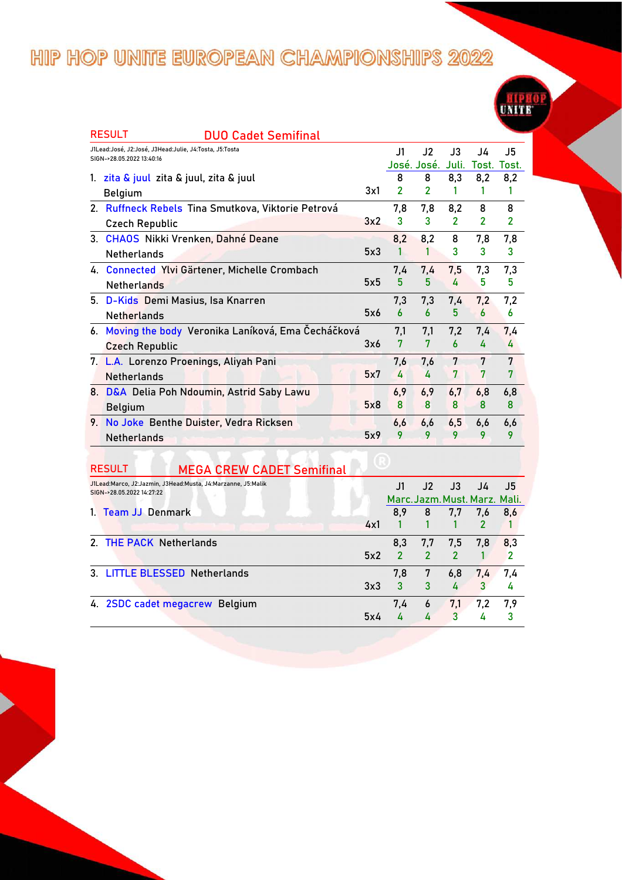| <b>RESULT</b><br><b>DUO Cadet Semifinal</b>                                         |     |                          |                |                |                |                |
|-------------------------------------------------------------------------------------|-----|--------------------------|----------------|----------------|----------------|----------------|
| J1Lead:José, J2:José, J3Head:Julie, J4:Tosta, J5:Tosta<br>SIGN->28.05.2022 13:40:16 |     | J1                       | J2             | J3             | J4             | J5             |
|                                                                                     |     |                          | José. José.    | Juli.          | Tost.          | Tost.          |
| 1. zita & juul zita & juul, zita & juul                                             |     | 8                        | 8              | 8,3            | 8,2            | 8,2            |
| <b>Belgium</b>                                                                      | 3x1 | $\overline{\phantom{a}}$ | $\overline{2}$ | 1              |                | 1              |
| 2. Ruffneck Rebels Tina Smutkova, Viktorie Petrová                                  |     | 7,8                      | 7,8            | 8,2            | 8              | 8              |
| <b>Czech Republic</b>                                                               | 3x2 | 3                        | 3              | $\overline{2}$ | $\overline{2}$ | $\overline{2}$ |
| 3. CHAOS Nikki Vrenken, Dahné Deane                                                 |     | 8,2                      | 8,2            | 8              | 7,8            | 7,8            |
| <b>Netherlands</b>                                                                  | 5x3 |                          |                | 3              | 3              | 3              |
| 4. Connected Ylvi Gärtener, Michelle Crombach                                       |     | 7,4                      | 7,4            | 7,5            | 7,3            | 7,3            |
| <b>Netherlands</b>                                                                  | 5x5 | 5                        | 5              | 4              | 5              | 5              |
| 5. D-Kids Demi Masius, Isa Knarren                                                  |     | 7,3                      | 7,3            | 7,4            | 7,2            | 7,2            |
| <b>Netherlands</b>                                                                  | 5x6 | 6                        | 6              | 5              | 6              | 6              |
| 6. Moving the body Veronika Laníková, Ema Čecháčková                                |     | 7,1                      | 7,1            | 7,2            | 7,4            | 7,4            |
| <b>Czech Republic</b>                                                               | 3x6 | 7                        | 7              | 6              | 4              | 4              |
| 7. L.A. Lorenzo Proenings, Aliyah Pani                                              |     | 7.6                      | 7.6            | 7              | 7              | 7              |
| <b>Netherlands</b>                                                                  | 5x7 | 4                        | 4              | 7              | 7              | 7              |
| 8. D&A Delia Poh Ndoumin, Astrid Saby Lawu                                          |     | 6,9                      | 6,9            | 6,7            | 6,8            | 6,8            |
| <b>Belgium</b>                                                                      | 5x8 | 8                        | 8              | 8              | 8              | 8              |
| 9. No Joke Benthe Duister, Vedra Ricksen                                            |     | 6,6                      | 6,6            | 6,5            | 6,6            | 6,6            |
| <b>Netherlands</b>                                                                  | 5x9 | 9                        | 9              | 9              | 9              | 9              |

| J1Lead:Marco, J2:Jazmin, J3Head:Musta, J4:Marzanne, J5:Malik<br>SIGN->28.05.2022 14:27:22 |     | J1  | J2                      | J3             | J4                            | J5  |
|-------------------------------------------------------------------------------------------|-----|-----|-------------------------|----------------|-------------------------------|-----|
|                                                                                           |     |     |                         |                | Marc. Jazm. Must. Marz. Mali. |     |
| 1. Team JJ Denmark                                                                        |     | 8,9 | 8                       | 7,7            | 7,6                           | 8.6 |
|                                                                                           | 4x1 |     |                         |                |                               |     |
| 2. THE PACK Netherlands                                                                   |     | 8,3 | 7,7                     | 7,5            | 7,8                           | 8,3 |
|                                                                                           | 5x2 |     | $\overline{\mathbf{z}}$ | $\overline{2}$ |                               | 2   |
| 3. LITTLE BLESSED Netherlands                                                             |     | 7.8 | 7                       | 6,8            | 7.4                           | 7.4 |
|                                                                                           | 3x3 | 3   | 3                       |                | 3                             | 4   |
| 4. 2SDC cadet megacrew Belgium                                                            |     | 7.4 | 6                       | 7,1            | 7,2                           | 7.9 |
|                                                                                           | 5x4 |     | 4                       | 3              | 4                             |     |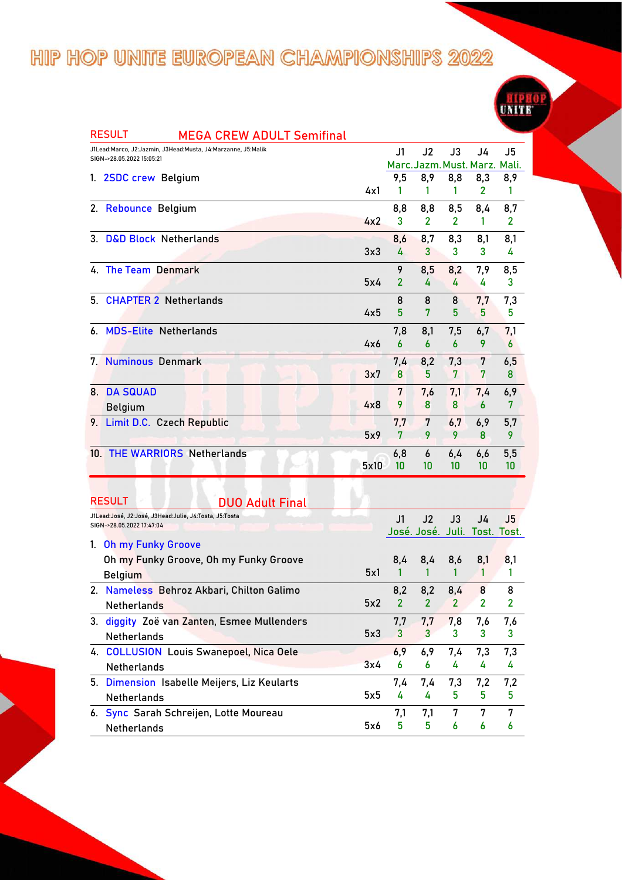

|    | <b>RESULT</b><br><b>MEGA CREW ADULT Semifinal</b>                                   |      |                  |                               |                |                |                |
|----|-------------------------------------------------------------------------------------|------|------------------|-------------------------------|----------------|----------------|----------------|
|    | J1Lead:Marco, J2:Jazmin, J3Head:Musta, J4:Marzanne, J5:Malik                        |      | J1               | J <sub>2</sub>                | J3             | J4             | J5             |
|    | SIGN->28.05.2022 15:05:21                                                           |      |                  | Marc. Jazm. Must. Marz. Mali. |                |                |                |
|    | 1. 2SDC crew Belgium                                                                |      | 9,5              | 8,9                           | 8,8            | 8,3            | 8,9            |
|    |                                                                                     | 4x1  | 1                | 1                             | 1              | 2              | 1              |
|    | 2. Rebounce Belgium                                                                 |      | 8,8              | 8,8                           | 8,5            | 8,4            | 8,7            |
|    |                                                                                     | 4x2  | 3                | 2                             | 2              | 1              | 2              |
|    | 3. D&D Block Netherlands                                                            |      | 8,6              | 8,7                           | 8,3            | 8,1            | 8,1            |
|    |                                                                                     | 3x3  | 4                | 3                             | 3              | 3              | 4              |
|    | 4. The Team Denmark                                                                 |      | 9                | 8,5                           | 8,2            | 7,9            | 8,5            |
|    |                                                                                     | 5x4  | $\overline{2}$   | 4                             | 4              | 4              | 3              |
| 5. | <b>CHAPTER 2 Netherlands</b>                                                        |      | 8                | 8                             | 8              | 7,7            | 7,3            |
|    |                                                                                     | 4x5  | 5                | 7                             | 5              | 5              | 5              |
|    | 6. MDS-Elite Netherlands                                                            |      | 7,8              | 8,1                           | 7,5            | 6,7            | 7,1            |
|    |                                                                                     | 4x6  | $\boldsymbol{6}$ | 6                             | 6              | 9              | 6              |
|    | 7. Numinous Denmark                                                                 |      | 7,4              | 8,2                           | 7,3            | 7              | 6,5            |
|    |                                                                                     | 3x7  | 8                | 5                             | 7              | 7              | 8              |
| 8. | <b>DA SQUAD</b>                                                                     |      | 7                | 7,6                           | 7,1            | 7,4            | 6,9            |
|    | <b>Belgium</b>                                                                      | 4x8  | 9                | 8                             | 8              | 6              | 7              |
|    | 9. Limit D.C. Czech Republic                                                        |      | 7,7              | 7                             | 6,7            | 6,9            | 5,7            |
|    |                                                                                     | 5x9  | 7                | 9                             | 9              | 8              | 9              |
|    | 10. THE WARRIORS Netherlands                                                        |      |                  |                               |                |                |                |
|    |                                                                                     | 5x10 | 6,8<br>10        | 6<br>10                       | 6,4<br>10      | 6,6<br>10      | 5,5<br>10      |
|    |                                                                                     |      |                  |                               |                |                |                |
|    |                                                                                     |      |                  |                               |                |                |                |
|    | <b>RESULT</b><br><b>DUO Adult Final</b>                                             |      |                  |                               |                |                |                |
|    | J1Lead:José, J2:José, J3Head:Julie, J4:Tosta, J5:Tosta<br>SIGN->28.05.2022 17:47:04 |      | J1               | J <sub>2</sub>                | J3             | J4             | J5             |
|    |                                                                                     |      |                  | José. José. Juli. Tost. Tost. |                |                |                |
|    | 1. Oh my Funky Groove                                                               |      |                  |                               |                |                |                |
|    | Oh my Funky Groove, Oh my Funky Groove                                              |      | 8,4              | 8,4                           | 8,6            | 8,1<br>1       | 8,1            |
|    | <b>Belgium</b>                                                                      | 5x1  | 1                | 1                             | 1              |                | 1              |
|    | 2. Nameless Behroz Akbari, Chilton Galimo                                           |      | 8.2              | 8.2                           | 8.4            | 8              | 8              |
|    | Netherlands                                                                         | 5x2  | $\overline{2}$   | $\overline{2}$                | $\overline{2}$ | $\overline{2}$ | $\overline{2}$ |
|    | 3. diggity Zoë van Zanten, Esmee Mullenders                                         |      | 7,7              | 7,7                           | 7,8            | 7,6            | 7,6            |
|    | <b>Netherlands</b>                                                                  | 5x3  | 3                | 3                             | 3.             | 3              | 3              |
|    | 4. COLLUSION Louis Swanepoel, Nica Oele                                             |      | 6,9              | 6,9                           | 7,4            | 7,3            | 7,3            |
|    | Netherlands                                                                         | 3x4  | 6                | 6                             | 4              | 4              | 4              |
|    | 5. Dimension Isabelle Meijers, Liz Keularts                                         |      | 7,4              | 7,4                           | 7,3            | 7,2            | 7,2            |
|    | Netherlands                                                                         | 5x5  | 4                | 4                             | 5              | 5              | 5              |
|    | 6. Sync Sarah Schreijen, Lotte Moureau                                              |      | 7,1              | 7,1                           | 7              | 7              | 7              |

Netherlands

 $5x6$ 

 $\overline{5}$ 

 $5\phantom{.0}$ 

 $\overline{6}$ 

 $\overline{6}$ 

 $\overline{6}$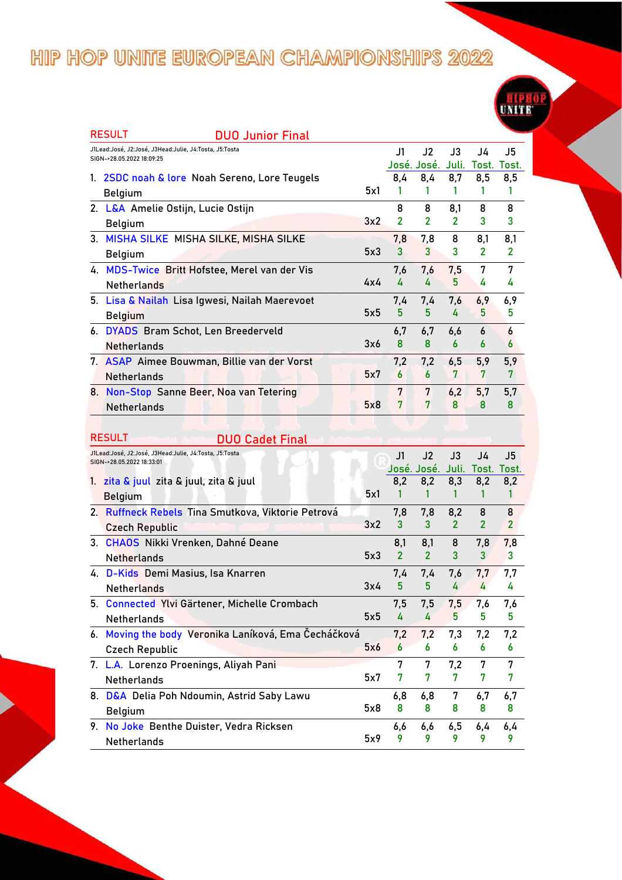|                                                                                     |     |                       |                                     |                       |                       | سيستب          |
|-------------------------------------------------------------------------------------|-----|-----------------------|-------------------------------------|-----------------------|-----------------------|----------------|
| <b>RESULT</b><br><b>DUO Junior Final</b>                                            |     |                       |                                     |                       |                       |                |
| J1Lead:José, J2:José, J3Head:Julie, J4:Tosta, J5:Tosta<br>SIGN->28.05.2022 18:09:25 |     | J1                    | J2                                  | J3                    | J4                    | J5             |
|                                                                                     |     |                       | José. José. Juli. Tost. Tost.       |                       |                       |                |
| 1. 2SDC noah & lore Noah Sereno, Lore Teugels                                       |     | 8,4                   | 8,4                                 | 8,7                   | 8,5                   | 8,5            |
| <b>Belgium</b>                                                                      | 5x1 | 1                     | 1                                   | 1                     | 1                     | 1              |
| 2. L&A Amelie Ostijn, Lucie Ostijn                                                  |     | 8                     | 8                                   | 8,1                   | 8                     | 8              |
| <b>Belgium</b>                                                                      | 3x2 | $\mathbf{2}$          | $\overline{2}$                      | $\overline{2}$        | 3                     | 3              |
| 3. MISHA SILKE MISHA SILKE, MISHA SILKE                                             |     | 7,8                   | 7,8                                 | 8                     | 8,1                   | 8,1            |
| <b>Belgium</b>                                                                      | 5x3 | 3                     | 3                                   | 3                     | $\overline{2}$        | 2              |
| 4. MDS-Twice Britt Hofstee, Merel van der Vis                                       |     | 7,6                   | 7,6                                 | 7,5                   | 7                     | 7              |
| <b>Netherlands</b>                                                                  | 4x4 | 4                     | 4                                   | 5                     | 4                     | 4              |
| 5. Lisa & Nailah Lisa Igwesi, Nailah Maerevoet                                      |     | 7,4                   | 7,4                                 | 7,6                   | 6,9                   | 6,9            |
| <b>Belgium</b>                                                                      | 5x5 | 5                     | 5                                   | 4                     | 5                     | 5              |
| 6. DYADS Bram Schot, Len Breederveld                                                |     | 6,7                   | 6,7                                 | 6,6                   | 6                     | 6              |
| <b>Netherlands</b>                                                                  | 3x6 | 8                     | 8                                   | 6                     | 6                     | 6              |
| 7. ASAP Aimee Bouwman, Billie van der Vorst                                         |     | 7,2                   | 7,2                                 | 6,5                   | 5,9                   | 5,9            |
| <b>Netherlands</b>                                                                  | 5x7 | 6                     | $\overline{6}$                      | 7                     | 7                     | 7              |
| 8. Non-Stop Sanne Beer, Noa van Tetering                                            |     | 7                     | 7                                   | 6,2                   | 5,7                   | 5,7            |
| <b>Netherlands</b>                                                                  | 5x8 | 7                     | 7                                   | 8                     | 8                     | 8              |
|                                                                                     |     |                       |                                     |                       |                       |                |
| <b>RESULT</b>                                                                       |     |                       |                                     |                       |                       |                |
| <b>DUO Cadet Final</b><br>J1Lead:José, J2:José, J3Head:Julie, J4:Tosta, J5:Tosta    |     |                       |                                     |                       |                       |                |
| SIGN->28.05.2022 18:33:01                                                           |     | $\overline{11}$       | J2<br>José. José. Juli. Tost. Tost. | J3                    | J4                    | J <sub>5</sub> |
| 1. zita & juul zita & juul, zita & juul                                             |     | 8,2                   | 8,2                                 | 8,3                   | 8,2                   | 8,2            |
| <b>Belgium</b>                                                                      | 5x1 | 1                     | 1                                   | 1                     | 1                     | 1              |
| 2. Ruffneck Rebels Tina Smutkova, Viktorie Petrová                                  |     | 7,8                   | 7,8                                 |                       | 8                     | 8              |
|                                                                                     | 3x2 | 3                     | 3                                   | 8,2<br>$\overline{2}$ | $\overline{2}$        | $\overline{2}$ |
| <b>Czech Republic</b>                                                               |     |                       |                                     |                       |                       |                |
| 3. CHAOS Nikki Vrenken, Dahné Deane                                                 | 5x3 | 8,1<br>$\overline{2}$ | 8,1<br>$\overline{2}$               | 8<br>3                | 7,8<br>$\overline{3}$ | 7,8<br>3       |
| <b>Netherlands</b>                                                                  |     |                       |                                     |                       |                       |                |
| 4. D-Kids Demi Masius, Isa Knarren                                                  |     | 7,4                   | 7.4                                 | 7,6                   | 7,7                   | 7,7            |
| <b>Netherlands</b>                                                                  | 3x4 | 5                     | 5                                   | 4                     | 4                     | 4              |
| 5. Connected Ylvi Gärtener, Michelle Crombach                                       |     | 7,5                   | 7,5                                 | 7,5                   | 7,6                   | 7,6            |
| <b>Netherlands</b>                                                                  | 5x5 | 4                     | 4                                   | 5.                    | 5.                    | 5              |
| 6. Moving the body Veronika Laníková, Ema Čecháčková                                |     | 7,2                   | 7,2                                 | 7,3                   | 7,2                   | 7,2            |
| <b>Czech Republic</b>                                                               | 5x6 | 6                     | 6                                   | 6                     | 6                     | 6              |
| 7. L.A. Lorenzo Proenings, Aliyah Pani                                              |     | 7                     | 7                                   | 7,2                   | 7                     | 7              |
| Netherlands                                                                         | 5x7 | 7                     | 7                                   | 7                     | 7                     | 7              |
| 8. D&A Delia Poh Ndoumin, Astrid Saby Lawu                                          |     | 6,8                   | 6,8                                 | 7                     | 6,7                   | 6,7            |

5x8 Belgium **8 8 8 8 8 9. No Joke Benthe Duister, Vedra Ricksen** 5x9  $\begin{array}{cccccc}\n6,6 & 6,6 & 6,5 & 6,4 & 6,4 \\
9 & 9 & 9 & 9 & 9\n\end{array}$ Netherlands **9 9 9 9 9**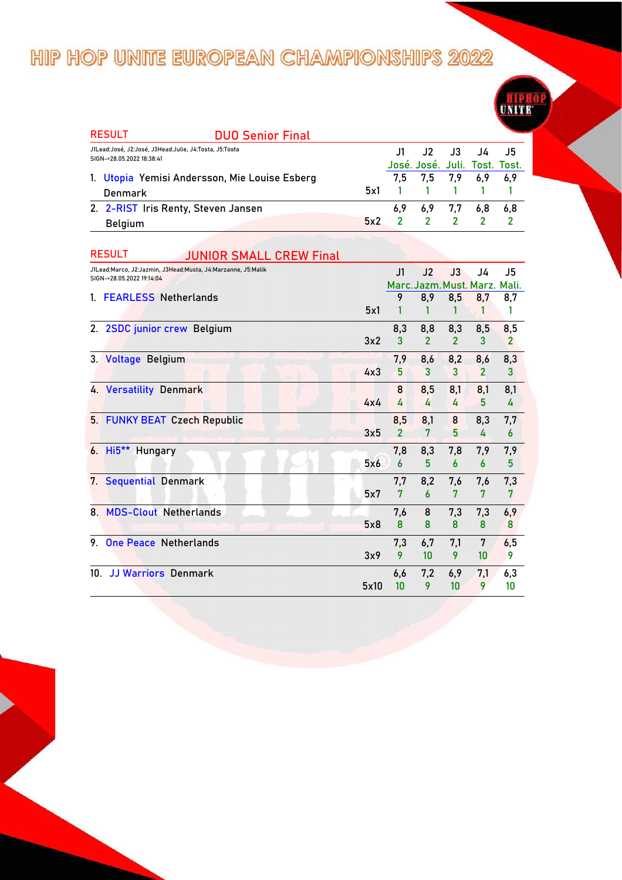| <b>RESULT</b>                                                                       | <b>DUO Senior Final</b>                       |     |     |                               |             |      |
|-------------------------------------------------------------------------------------|-----------------------------------------------|-----|-----|-------------------------------|-------------|------|
| J1Lead:José, J2:José, J3Head:Julie, J4:Tosta, J5:Tosta<br>SIGN->28.05.2022 18:38:41 |                                               |     |     | J1 J2 J3 J4 J5                |             |      |
|                                                                                     |                                               |     |     | José. José. Juli. Tost. Tost. |             |      |
|                                                                                     | 1. Utopia Yemisi Andersson, Mie Louise Esberg |     |     | 7,5 7,5 7,9 6,9 6,9           |             |      |
| Denmark                                                                             |                                               | 5x1 |     | 1 1 1 1 1                     |             |      |
| 2. 2-RIST Iris Renty, Steven Jansen                                                 |                                               |     | 6.9 |                               | 6.9 7.7 6.8 | -6.8 |
| <b>Belgium</b>                                                                      |                                               | 5x2 |     | 2 2 2 2                       |             |      |

|     | <b>RESULT</b><br>JUNIOR SMALL CREW Final                                                  |      |                |                |                |                         |                |
|-----|-------------------------------------------------------------------------------------------|------|----------------|----------------|----------------|-------------------------|----------------|
|     | J1Lead:Marco, J2:Jazmin, J3Head:Musta, J4:Marzanne, J5:Malik<br>SIGN->28.05.2022 19:14:04 |      | J1             | J2             | $\mathsf{J}3$  | J4                      | J5             |
|     |                                                                                           |      |                |                |                | Marc. Jazm. Must. Marz. | Mali.          |
|     | 1. FEARLESS Netherlands                                                                   |      | 9              | 8,9            | 8,5            | 8,7                     | 8,7            |
|     |                                                                                           | 5x1  |                |                |                |                         | 1              |
|     | 2. 2SDC junior crew Belgium                                                               |      | 8,3            | 8,8            | 8,3            | 8,5                     | 8,5            |
|     |                                                                                           | 3x2  | 3              | $\overline{2}$ | $\overline{2}$ | 3                       | $\overline{2}$ |
|     | 3. Voltage Belgium                                                                        |      | 7,9            | 8,6            | 8,2            | 8,6                     | 8,3            |
|     |                                                                                           | 4x3  | 5              | 3              | 3              | $\overline{2}$          | 3              |
|     | 4. Versatility Denmark                                                                    |      | 8              | 8,5            | 8,1            | 8,1                     | 8,1            |
|     |                                                                                           | 4x4  | 4              | 4              | 4              | 5                       | 4              |
|     | 5. FUNKY BEAT Czech Republic                                                              |      | 8,5            | 8,1            | 8              | 8,3                     | 7,7            |
|     |                                                                                           | 3x5  | $\overline{2}$ | 7              | 5              | 4                       | 6              |
|     | 6. Hi5 <sup>**</sup> Hungary                                                              |      | 7,8            | 8,3            | 7,8            | 7,9                     | 7,9            |
|     |                                                                                           | 5x6  | 6              | 5              | 6              | 6                       | 5              |
| 7.  | <b>Sequential Denmark</b>                                                                 |      | 7,7            | 8,2            | 7,6            | 7,6                     | 7,3            |
|     |                                                                                           | 5x7  | 7              | 6              | 7              | 7                       | 7              |
|     | 8. MDS-Clout Netherlands                                                                  |      | 7,6            | 8              | 7,3            | 7,3                     | 6,9            |
|     |                                                                                           | 5x8  | 8              | 8              | 8              | 8                       | 8              |
| 9   | <b>One Peace Netherlands</b>                                                              |      | 7,3            | 6,7            | 7,1            | 7                       | 6,5            |
|     |                                                                                           | 3x9  | 9              | 10             | 9              | 10                      | 9              |
| 10. | <b>JJ Warriors Denmark</b>                                                                |      | 6,6            | 7,2            | 6,9            | 7,1                     | 6,3            |
|     |                                                                                           | 5x10 | 10             | 9              | 10             | 9                       | 10             |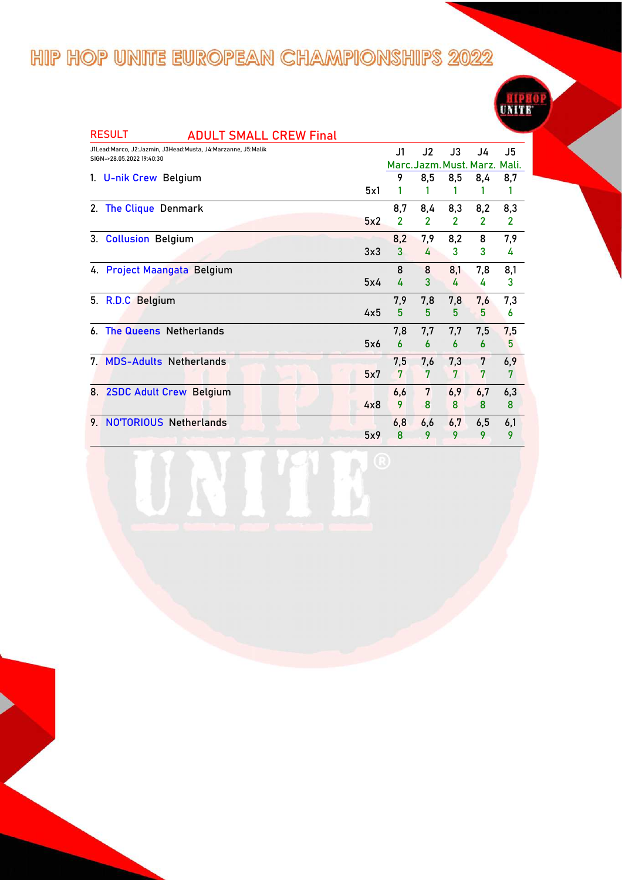| <b>RESULT</b>                                                                             | <b>ADULT SMALL CREW Final</b> |     |                |              |     |                               |              |
|-------------------------------------------------------------------------------------------|-------------------------------|-----|----------------|--------------|-----|-------------------------------|--------------|
| J1Lead:Marco, J2:Jazmin, J3Head:Musta, J4:Marzanne, J5:Malik<br>SIGN->28.05.2022 19:40:30 |                               |     | J1             | J2           | J3  | J4                            | J5           |
|                                                                                           |                               |     |                |              |     | Marc. Jazm. Must. Marz. Mali. |              |
| 1. U-nik Crew Belgium                                                                     |                               |     | 9              | 8,5          | 8,5 | 8,4                           | 8,7          |
|                                                                                           |                               | 5x1 |                |              |     |                               | 1            |
| 2. The Clique Denmark                                                                     |                               |     | 8,7            | 8,4          | 8,3 | 8,2                           | 8,3          |
|                                                                                           |                               | 5x2 | $\overline{2}$ | $\mathbf{2}$ | 2   | $\overline{2}$                | $\mathbf{2}$ |
| 3. Collusion Belgium                                                                      |                               |     | 8,2            | 7,9          | 8,2 | 8                             | 7,9          |
|                                                                                           |                               | 3x3 | 3              | 4            | 3   | 3                             | 4            |
| 4. Project Maangata Belgium                                                               |                               |     | 8              | 8            | 8,1 | 7,8                           | 8,1          |
|                                                                                           |                               | 5x4 | 4              | 3            | 4   | 4                             | 3            |
| 5. R.D.C Belgium                                                                          |                               |     | 7,9            | 7,8          | 7,8 | 7,6                           | 7,3          |
|                                                                                           |                               | 4x5 | 5              | 5            | 5   | 5                             | 6            |
| <b>The Queens Netherlands</b><br>6.                                                       |                               |     | 7,8            | 7,7          | 7,7 | 7,5                           | 7,5          |
|                                                                                           |                               | 5x6 | 6              | 6            | 6   | 6                             | 5            |
| 7. MDS-Adults Netherlands                                                                 |                               |     | 7,5            | 7,6          | 7,3 | 7                             | 6,9          |
|                                                                                           |                               | 5x7 | 7              | 7            | 7   | 7                             | 7            |
| 8. 2SDC Adult Crew Belgium                                                                |                               |     | 6,6            | 7            | 6,9 | 6,7                           | 6,3          |
|                                                                                           |                               | 4x8 | 9              | 8            | 8   | 8                             | 8            |
| <b>NOTORIOUS Netherlands</b><br>9.                                                        |                               |     | 6,8            | 6,6          | 6,7 | 6,5                           | 6,1          |
|                                                                                           |                               | 5x9 | 8              | 9            | 9   | 9                             | 9            |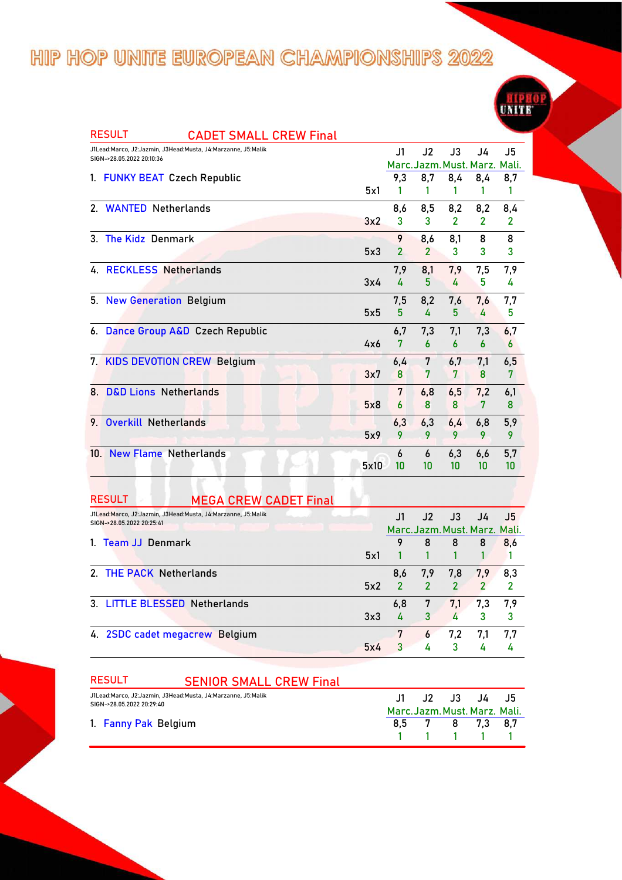| <b>RESULT</b><br><b>CADET SMALL CREW Final</b>                                            |      |                |                               |                |                |              |
|-------------------------------------------------------------------------------------------|------|----------------|-------------------------------|----------------|----------------|--------------|
| J1Lead:Marco, J2:Jazmin, J3Head:Musta, J4:Marzanne, J5:Malik<br>SIGN->28.05.2022 20:10:36 |      | J1             | J2                            | J3             | J4             | J5           |
|                                                                                           |      |                | Marc. Jazm. Must. Marz. Mali. |                |                |              |
| <b>FUNKY BEAT Czech Republic</b><br>1.                                                    |      | 9,3            | 8,7                           | 8,4            | 8,4            | 8,7          |
|                                                                                           | 5x1  |                | 1                             | 1              |                | 1            |
| 2. WANTED Netherlands                                                                     |      | 8,6            | 8,5                           | 8,2            | 8,2            | 8,4          |
|                                                                                           | 3x2  | 3              | 3                             | $\overline{2}$ | $\overline{2}$ | $\mathbf{2}$ |
| <b>The Kidz Denmark</b><br>3                                                              |      | 9              | 8,6                           | 8,1            | 8              | 8            |
|                                                                                           | 5x3  | $\overline{2}$ | $\overline{2}$                | 3              | 3              | 3            |
| 4. RECKLESS Netherlands                                                                   |      | 7,9            | 8,1                           | 7,9            | 7,5            | 7,9          |
|                                                                                           | 3x4  | 4              | 5                             | 4              | 5              | 4            |
| 5. New Generation Belgium                                                                 |      | 7,5            | 8,2                           | 7,6            | 7,6            | 7,7          |
|                                                                                           | 5x5  | 5              | 4                             | 5              | 4              | 5            |
| 6. Dance Group A&D Czech Republic                                                         |      | 6,7            | 7,3                           | 7.1            | 7,3            | 6,7          |
|                                                                                           | 4x6  | 7              | 6                             | 6              | 6              | 6            |
| 7. KIDS DEVOTION CREW Belgium                                                             |      | 6,4            | 7                             | 6,7            | 7,1            | 6,5          |
|                                                                                           | 3x7  | 8              | 7                             | 7              | 8              | 7            |
| <b>D&amp;D Lions Netherlands</b><br>8.                                                    |      | 7              | 6,8                           | 6,5            | 7,2            | 6,1          |
|                                                                                           | 5x8  | 6              | 8                             | 8              | 7              | 8            |
| <b>Overkill Netherlands</b><br>9                                                          |      | 6,3            | 6,3                           | 6,4            | 6,8            | 5,9          |
|                                                                                           | 5x9  | 9              | 9                             | 9              | 9              | 9            |
| 10. New Flame Netherlands                                                                 |      | 6              | 6                             | 6,3            | 6,6            | 5,7          |
|                                                                                           | 5x10 | 10             | 10                            | 10             | 10             | 10           |

| <b>RESULT</b><br><b>MEGA CREW CADET Final</b>                                             |     |     |               |                         |                               |           |
|-------------------------------------------------------------------------------------------|-----|-----|---------------|-------------------------|-------------------------------|-----------|
| J1Lead:Marco, J2:Jazmin, J3Head:Musta, J4:Marzanne, J5:Malik<br>SIGN->28.05.2022 20:25:41 |     | J1  | J2            | $\mathsf{J3}^-$         | J4                            | <b>J5</b> |
|                                                                                           |     |     |               |                         | Marc. Jazm. Must. Marz. Mali. |           |
| 1. Team JJ Denmark                                                                        |     |     | 8             | 8                       | 8                             | 8,6       |
|                                                                                           | 5x1 |     |               |                         |                               |           |
| 2. THE PACK Netherlands                                                                   |     | 8,6 | 7,9           | 7,8                     | 7,9                           | 8,3       |
|                                                                                           | 5x2 | 2   | $\mathcal{P}$ | $\overline{\mathbf{z}}$ |                               | 2         |
| 3. LITTLE BLESSED Netherlands                                                             |     | 6,8 | 7             | 7,1                     | 7,3                           | 7,9       |
|                                                                                           | 3x3 |     | 3             | 4                       | 3                             | 3         |
| 4. 2SDC cadet megacrew Belgium                                                            |     |     | 6             | 7,2                     | 7.1                           | 7.7       |
|                                                                                           | 5x4 |     | 4             | 3                       |                               |           |

| <b>RESULT</b>                                                                             | <b>SENIOR SMALL CREW Final</b> |  |                               |  |
|-------------------------------------------------------------------------------------------|--------------------------------|--|-------------------------------|--|
| J1Lead:Marco, J2:Jazmin, J3Head:Musta, J4:Marzanne, J5:Malik<br>SIGN->28.05.2022 20:29:40 |                                |  | J1 J2 J3 J4 J5                |  |
|                                                                                           |                                |  | Marc. Jazm. Must. Marz. Mali. |  |
| 1. Fanny Pak Belgium                                                                      |                                |  | 8.5 7 8 7.3 8.7               |  |
|                                                                                           |                                |  | 1 1 1 1 1                     |  |